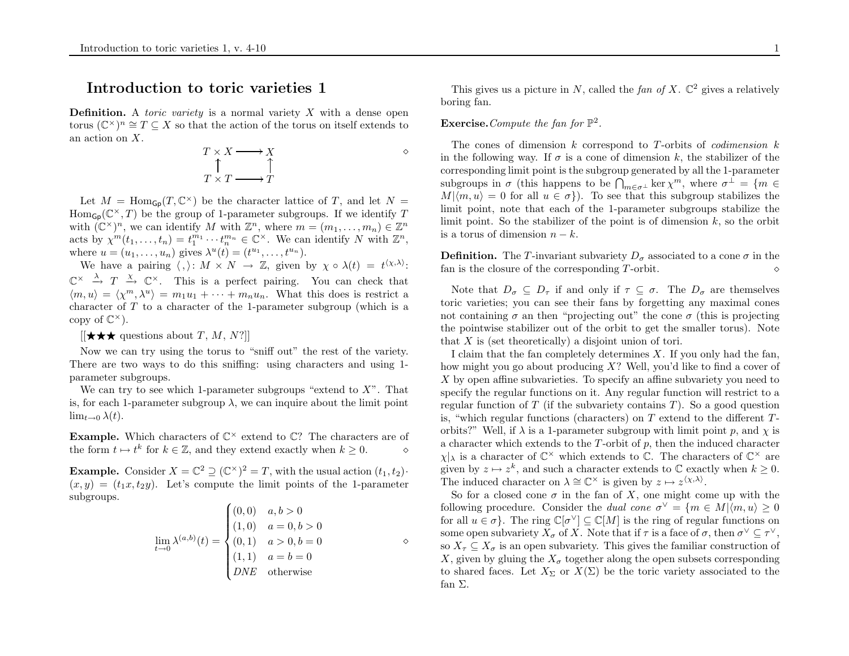## Introduction to toric varieties 1

**Definition.** A *toric variety* is a normal variety  $X$  with a dense open torus  $(\mathbb{C}^{\times})^n \cong T \subseteq X$  so that the action of the torus on itself extends to an action on  $X$ .

$$
\begin{array}{ccc}\nT \times X & \longrightarrow & X \\
\uparrow & & \uparrow \\
T \times T & \longrightarrow & T\n\end{array}
$$

 $\Diamond$ 

Let  $M = \text{Hom}_{\mathsf{Gp}}(T, \mathbb{C}^{\times})$  be the character lattice of T, and let  $N =$  $\text{Hom}_{\mathsf{Gp}}(\mathbb{C}^{\times}, T)$  be the group of 1-parameter subgroups. If we identify T with  $(\mathbb{C}^{\times})^n$ , we can identify M with  $\mathbb{Z}^n$ , where  $m = (m_1, \ldots, m_n) \in \mathbb{Z}^n$ acts by  $\chi^m(t_1,\ldots,t_n) = t_1^{m_1}\cdots t_n^{m_n} \in \mathbb{C}^{\times}$ . We can identify N with  $\mathbb{Z}^n$ , where  $u = (u_1, ..., u_n)$  gives  $\lambda^u(t) = (t^{u_1}, ..., t^{u_n})$ .

We have a pairing  $\langle , \rangle: M \times N \to \mathbb{Z}$ , given by  $\chi \circ \lambda(t) = t^{(\chi,\lambda)}$ .  $\mathbb{C}^{\times} \stackrel{\lambda}{\to} T \stackrel{\chi}{\to} \mathbb{C}^{\times}$ . This is a perfect pairing. You can check that  $\langle m, u \rangle = \langle \chi^m, \lambda^u \rangle = m_1 u_1 + \cdots + m_n u_n$ . What this does is restrict a character of <sup>T</sup> to a character of the 1-parameter subgroup (which is a copy of  $\mathbb{C}^{\times}$ ).

 $[[\star \star \star]$  questions about  $T, M, N$ ?]]

Now we can try using the torus to "sniff out" the rest of the variety. There are two ways to do this sniffing: using characters and using 1 parameter subgroups.

We can try to see which 1-parameter subgroups "extend to  $X$ ". That is, for each 1-parameter subgroup  $\lambda$ , we can inquire about the limit point  $\lim_{t\to 0} \lambda(t)$ .

**Example.** Which characters of  $\mathbb{C}^{\times}$  extend to  $\mathbb{C}$ ? The characters are of the form  $t \mapsto t^k$  for  $k \in \mathbb{Z}$ , and they extend exactly when  $k \geq 0$ . ⋄

**Example.** Consider  $X = \mathbb{C}^2 \supseteq (\mathbb{C}^{\times})^2 = T$ , with the usual action  $(t_1, t_2)$ .  $(x, y) = (t_1x, t_2y)$ . Let's compute the limit points of the 1-parameter subgroups.  $\overline{1}$ 

$$
\lim_{t \to 0} \lambda^{(a,b)}(t) = \begin{cases} (0,0) & a,b > 0 \\ (1,0) & a = 0, b > 0 \\ (0,1) & a > 0, b = 0 \\ (1,1) & a = b = 0 \\ DNE & \text{otherwise} \end{cases}
$$

This gives us a picture in N, called the fan of X.  $\mathbb{C}^2$  gives a relatively boring fan.

## **Exercise.** Compute the fan for  $\mathbb{P}^2$ .

The cones of dimension  $k$  correspond to T-orbits of *codimension*  $k$ in the following way. If  $\sigma$  is a cone of dimension k, the stabilizer of the corresponding limit point is the subgroup generated by all the 1-parameter corresponding limit point is the subgroup generated by all the 1-parameter<br>subgroups in  $\sigma$  (this happens to be  $\bigcap_{m \in \sigma^{\perp}} \ker \chi^m$ , where  $\sigma^{\perp} = \{m \in$  $M|\langle m, u \rangle = 0$  for all  $u \in \sigma$ . To see that this subgroup stabilizes the limit point, note that each of the 1-parameter subgroups stabilize the limit point. So the stabilizer of the point is of dimension  $k$ , so the orbit is a torus of dimension  $n - k$ .

**Definition.** The T-invariant subvariety  $D_{\sigma}$  associated to a cone  $\sigma$  in the fan is the closure of the corresponding  $T\text{-orbit}$ . ⋄

Note that  $D_{\sigma} \subseteq D_{\tau}$  if and only if  $\tau \subseteq \sigma$ . The  $D_{\sigma}$  are themselves toric varieties; you can see their fans by forgetting any maximal cones not containing  $\sigma$  an then "projecting out" the cone  $\sigma$  (this is projecting the pointwise stabilizer out of the orbit to get the smaller torus). Note that <sup>X</sup> is (set theoretically) <sup>a</sup> disjoint union of tori.

I claim that the fan completely determines X. If you only had the fan, how might you go about producing X? Well, you'd like to find <sup>a</sup> cover of X by open affine subvarieties. To specify an affine subvariety you need to specify the regular functions on it. Any regular function will restrict to a regular function of  $T$  (if the subvariety contains  $T$ ). So a good question is, "which regular functions (characters) on  $T$  extend to the different  $T$ orbits?" Well, if  $\lambda$  is a 1-parameter subgroup with limit point p, and  $\chi$  is a character which extends to the  $T$ -orbit of  $p$ , then the induced character  $\chi|_{\lambda}$  is a character of  $\mathbb{C}^{\times}$  which extends to  $\mathbb{C}$ . The characters of  $\mathbb{C}^{\times}$  are given by  $z \mapsto z^k$ , and such a character extends to  $\mathbb C$  exactly when  $k \geq 0$ . The induced character on  $\lambda \cong \mathbb{C}^{\times}$  is given by  $z \mapsto z^{\langle \chi, \lambda \rangle}$ .

So for a closed cone  $\sigma$  in the fan of X, one might come up with the following procedure. Consider the *dual cone*  $\sigma^{\vee} = \{m \in M | \langle m, u \rangle \geq 0\}$ for all  $u \in \sigma$ . The ring  $\mathbb{C}[\sigma^{\vee}] \subseteq \mathbb{C}[M]$  is the ring of regular functions on some open subvariety  $X_{\sigma}$  of X. Note that if  $\tau$  is a face of  $\sigma$ , then  $\sigma^{\vee} \subseteq \tau^{\vee}$ , so  $X_{\tau} \subseteq X_{\sigma}$  is an open subvariety. This gives the familiar construction of X, given by gluing the  $X_{\sigma}$  together along the open subsets corresponding to shared faces. Let  $X_{\Sigma}$  or  $X(\Sigma)$  be the toric variety associated to the fan Σ.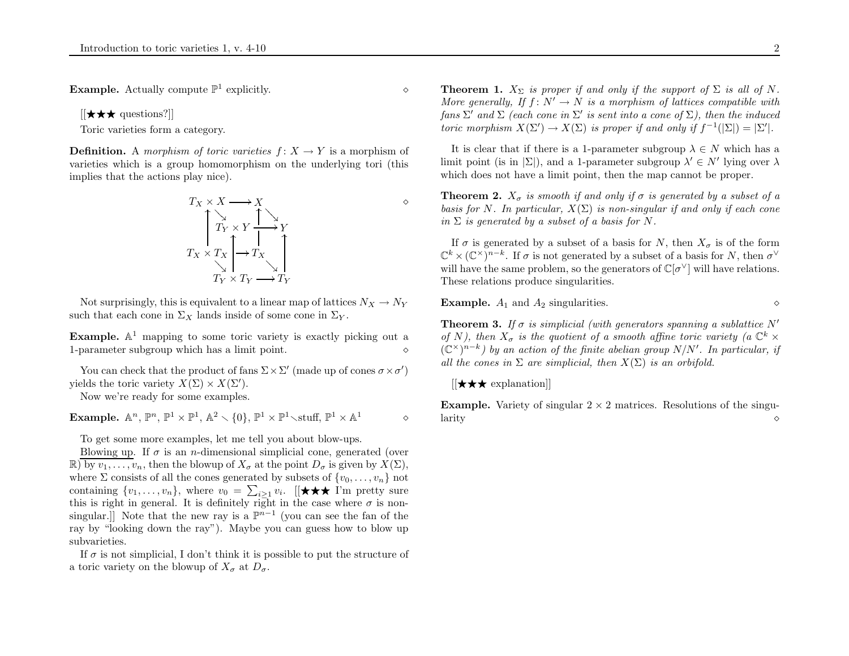**Example.** Actually compute  $\mathbb{P}^1$  explicitly.  $\diamond$ 

 $[[\bigstar\bigstar\bigstar]$  questions?]]

Toric varieties form <sup>a</sup> category.

**Definition.** A morphism of toric varieties  $f: X \rightarrow Y$  is a morphism of varieties which is <sup>a</sup> group homomorphism on the underlying tori (this implies that the actions <sup>p</sup>lay nice).

$$
T_X \times X \longrightarrow X
$$
  
\n
$$
T_Y \times Y \xrightarrow{\uparrow} Y
$$
  
\n
$$
T_X \times T_X \xrightarrow{\uparrow} T_X
$$
  
\n
$$
T_Y \times T_Y \longrightarrow T_Y
$$

Not surprisingly, this is equivalent to a linear map of lattices  $N_X \to N_Y$ such that each cone in  $\Sigma_X$  lands inside of some cone in  $\Sigma_Y$ .

**Example.**  $\mathbb{A}^1$  mapping to some toric variety is exactly picking out a 1-parameter subgroup which has a limit point.  $\Diamond$ 

You can check that the product of fans  $\Sigma \times \Sigma'$  (made up of cones  $\sigma \times \sigma'$ ) yields the toric variety  $X(\Sigma) \times X(\Sigma')$ .

Now we're ready for some examples.

**Example.**  $\mathbb{A}^n$ ,  $\mathbb{P}^n$ ,  $\mathbb{P}^1 \times \mathbb{P}^1$ ,  $\mathbb{A}^2 \times \{0\}$ ,  $\mathbb{P}^1 \times \mathbb{P}^1 \times \text{stuff}$ ,  $\mathbb{P}^1 \times \mathbb{A}^1$   $\diamond$ 

To get some more examples, let me tell you about blow-ups.

Blowing up. If  $\sigma$  is an *n*-dimensional simplicial cone, generated (over  $\mathbb{R}$ ) by  $v_1, \ldots, v_n$ , then the blowup of  $X_{\sigma}$  at the point  $D_{\sigma}$  is given by  $X(\Sigma)$ , where  $\Sigma$  consists of all the cones generated by subsets of  $\{v_0, \ldots, v_n\}$  not containing  $\{v_1, \ldots, v_n\}$ , where  $v_0 = \sum_{i>1} v_i$ . [[ $\star \star \star$  I'm pretty sure this is right in general. It is definitely right in the case where  $\sigma$  is nonsingular.]] Note that the new ray is a  $\mathbb{P}^{n-1}$  (you can see the fan of the ray by "looking down the ray"). Maybe you can guess how to blow up subvarieties.

If  $\sigma$  is not simplicial, I don't think it is possible to put the structure of a toric variety on the blowup of  $X_{\sigma}$  at  $D_{\sigma}$ .

**Theorem 1.**  $X_{\Sigma}$  is proper if and only if the support of  $\Sigma$  is all of N. More generally, If  $f: N' \to N$  is a morphism of lattices compatible with fans  $\Sigma'$  and  $\Sigma$  (each cone in  $\Sigma'$  is sent into a cone of  $\Sigma$ ), then the induced toric morphism  $X(\Sigma') \to X(\Sigma)$  is proper if and only if  $f^{-1}(|\Sigma|) = |\Sigma'|$ .

It is clear that if there is a 1-parameter subgroup  $\lambda \in N$  which has a limit point (is in  $|\Sigma|$ ), and a 1-parameter subgroup  $\lambda' \in N'$  lying over  $\lambda$ which does not have <sup>a</sup> limit point, then the map cannot be proper.

**Theorem 2.**  $X_{\sigma}$  is smooth if and only if  $\sigma$  is generated by a subset of a basis for N. In particular,  $X(\Sigma)$  is non-singular if and only if each cone in  $\Sigma$  is generated by a subset of a basis for N.

If  $\sigma$  is generated by a subset of a basis for N, then  $X_{\sigma}$  is of the form  $\mathbb{C}^k \times (\mathbb{C}^\times)^{n-k}$ . If  $\sigma$  is not generated by a subset of a basis for N, then  $\sigma^{\vee}$ will have the same problem, so the generators of  $\mathbb{C}[\sigma^{\vee}]$  will have relations. These relations produce singularities.

**Example.**  $A_1$  and  $A_2$  singularities.  $\diamond$ 

**Theorem 3.** If  $\sigma$  is simplicial (with generators spanning a sublattice N' of N), then  $X_{\sigma}$  is the quotient of a smooth affine toric variety (a  $\mathbb{C}^{k}$   $\times$  $(\mathbb{C}^{\times})^{n-k}$ ) by an action of the finite abelian group N/N'. In particular, if all the cones in  $\Sigma$  are simplicial, then  $X(\Sigma)$  is an orbifold.

 $[[\bigstar \bigstar \infty]$  explanation

**Example.** Variety of singular  $2 \times 2$  matrices. Resolutions of the singu- $\lambda$  and  $\lambda$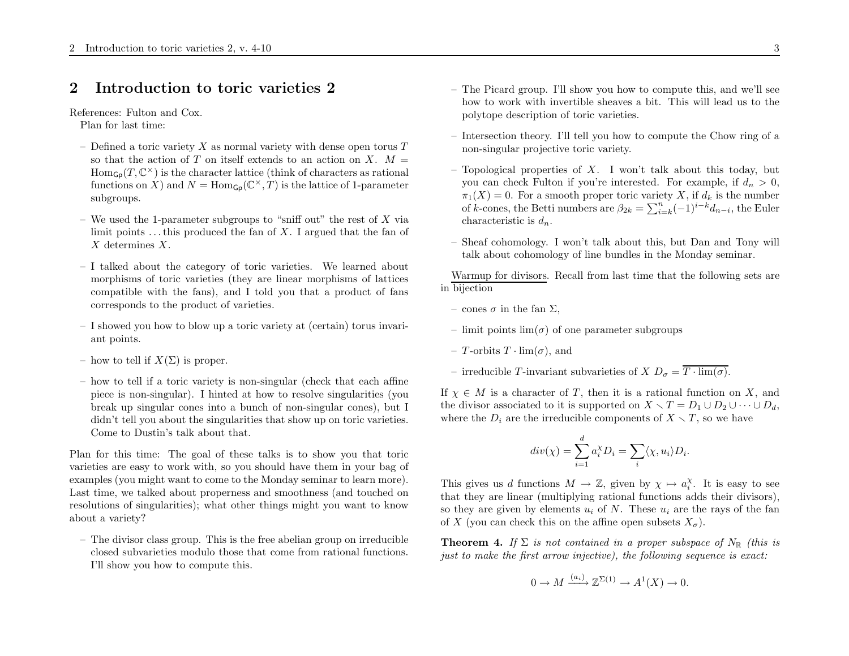## 2 Introduction to toric varieties 2

References: Fulton and Cox.

Plan for last time:

- Defined a toric variety  $X$  as normal variety with dense open torus  $T$ so that the action of T on itself extends to an action on X.  $M =$  $\text{Hom}_{\mathsf{Gp}}(T,\mathbb{C}^{\times})$  is the character lattice (think of characters as rational functions on X) and  $N = \text{Hom}_{\mathsf{Gp}}(\mathbb{C}^{\times}, T)$  is the lattice of 1-parameter subgroups.
- We used the 1-parameter subgroups to "sniff out" the rest of  $X$  via limit points  $\dots$  this produced the fan of X. I argued that the fan of X determines X.
- I talked about the category of toric varieties. We learned about morphisms of toric varieties (they are linear morphisms of lattices compatible with the fans), and <sup>I</sup> told you that <sup>a</sup> product of fans corresponds to the product of varieties.
- <sup>I</sup> showed you how to blow up <sup>a</sup> toric variety at (certain) torus invariant points.
- how to tell if  $X(\Sigma)$  is proper.
- how to tell if <sup>a</sup> toric variety is non-singular (check that each affine piece is non-singular). <sup>I</sup> hinted at how to resolve singularities (you break up singular cones into <sup>a</sup> bunch of non-singular cones), but <sup>I</sup> didn't tell you about the singularities that show up on toric varieties. Come to Dustin's talk about that.

Plan for this time: The goal of these talks is to show you that toric varieties are easy to work with, so you should have them in your bag of examples (you might want to come to the Monday seminar to learn more). Last time, we talked about properness and smoothness (and touched on resolutions of singularities); what other things might you want to know about a variety?

– The divisor class group. This is the free abelian group on irreducible closed subvarieties modulo those that come from rational functions. I'll show you how to compute this.

- The Picard group. I'll show you how to compute this, and we'll see how to work with invertible sheaves <sup>a</sup> bit. This will lead us to the polytope description of toric varieties.
- Intersection theory. I'll tell you how to compute the Chow ring of <sup>a</sup> non-singular projective toric variety.
- Topological properties of X. I won't talk about this today, but you can check Fulton if you're interested. For example, if  $d_n > 0$ ,  $\pi_1(X) = 0$ . For a smooth proper toric variety X, if  $d_k$  is the number of k-cones, the Betti numbers are  $\beta_{2k} = \sum_{i=k}^{n} (-1)^{i-k} d_{n-i}$ , the Euler characteristic is  $d_n$ .
- Sheaf cohomology. I won't talk about this, but Dan and Tony will talk about cohomology of line bundles in the Monday seminar.

Warmup for divisors. Recall from last time that the following sets are in bijection

- $-$  cones  $\sigma$  in the fan  $\Sigma$ ,
- $-$  limit points  $\lim(\sigma)$  of one parameter subgroups
- $-$  T-orbits  $T \cdot \lim(\sigma)$ , and
- irreducible T-invariant subvarieties of  $X D_{\sigma} = T \cdot \lim_{\sigma}(\sigma)$ .

If  $\chi \in M$  is a character of T, then it is a rational function on X, and the divisor associated to it is supported on  $X \setminus T = D_1 \cup D_2 \cup \cdots \cup D_d$ , where the  $D_i$  are the irreducible components of  $X \setminus T$ , so we have

$$
div(\chi) = \sum_{i=1}^{d} a_i^{\chi} D_i = \sum_i \langle \chi, u_i \rangle D_i.
$$

This gives us d functions  $M \to \mathbb{Z}$ , given by  $\chi \mapsto a_i^{\chi}$ . It is easy to see that they are linear (multiplying rational functions adds their divisors), so they are given by elements  $u_i$  of N. These  $u_i$  are the rays of the fan of X (you can check this on the affine open subsets  $X_{\sigma}$ ).

**Theorem 4.** If  $\Sigma$  is not contained in a proper subspace of  $N_{\mathbb{R}}$  (this is just to make the first arrow injective), the following sequence is exact:

$$
0 \to M \xrightarrow{(a_i)} \mathbb{Z}^{\Sigma(1)} \to A^1(X) \to 0.
$$